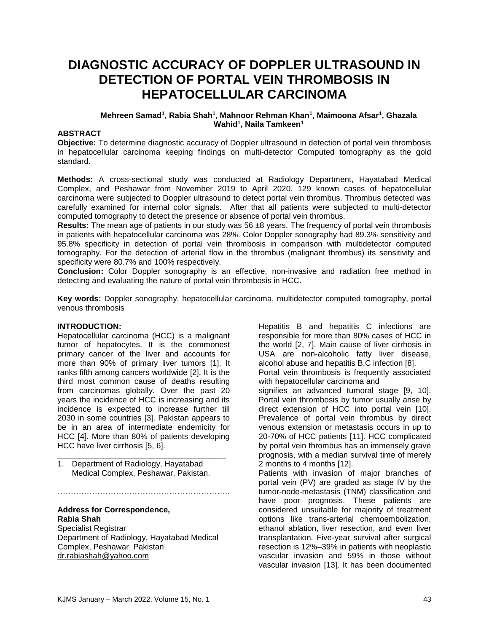# **DIAGNOSTIC ACCURACY OF DOPPLER ULTRASOUND IN DETECTION OF PORTAL VEIN THROMBOSIS IN HEPATOCELLULAR CARCINOMA**

#### **Mehreen Samad<sup>1</sup> , Rabia Shah<sup>1</sup> , Mahnoor Rehman Khan<sup>1</sup> , Maimoona Afsar<sup>1</sup> , Ghazala Wahid<sup>1</sup> , Naila Tamkeen<sup>1</sup>**

#### **ABSTRACT**

**Objective:** To determine diagnostic accuracy of Doppler ultrasound in detection of portal vein thrombosis in hepatocellular carcinoma keeping findings on multi-detector Computed tomography as the gold standard.

**Methods:** A cross-sectional study was conducted at Radiology Department, Hayatabad Medical Complex, and Peshawar from November 2019 to April 2020. 129 known cases of hepatocellular carcinoma were subjected to Doppler ultrasound to detect portal vein thrombus. Thrombus detected was carefully examined for internal color signals. After that all patients were subjected to multi-detector computed tomography to detect the presence or absence of portal vein thrombus.

**Results:** The mean age of patients in our study was 56 ±8 years. The frequency of portal vein thrombosis in patients with hepatocellular carcinoma was 28%. Color Doppler sonography had 89.3% sensitivity and 95.8% specificity in detection of portal vein thrombosis in comparison with multidetector computed tomography. For the detection of arterial flow in the thrombus (malignant thrombus) its sensitivity and specificity were 80.7% and 100% respectively.

**Conclusion:** Color Doppler sonography is an effective, non-invasive and radiation free method in detecting and evaluating the nature of portal vein thrombosis in HCC.

**Key words:** Doppler sonography, hepatocellular carcinoma, multidetector computed tomography, portal venous thrombosis

#### **INTRODUCTION:**

Hepatocellular carcinoma (HCC) is a malignant tumor of hepatocytes. It is the commonest primary cancer of the liver and accounts for more than 90% of primary liver tumors [\[1\]](#page-4-0). It ranks fifth among cancers worldwide [\[2\]](#page-4-1). It is the third most common cause of deaths resulting from carcinomas globally. Over the past 20 years the incidence of HCC is increasing and its incidence is expected to increase further till 2030 in some countries [\[3\]](#page-4-2). Pakistan appears to be in an area of intermediate endemicity for HCC [\[4\]](#page-4-3). More than 80% of patients developing HCC have liver cirrhosis [\[5,](#page-4-4) [6\]](#page-4-5).

1. Department of Radiology, Hayatabad Medical Complex, Peshawar, Pakistan.

\_\_\_\_\_\_\_\_\_\_\_\_\_\_\_\_\_\_\_\_\_\_\_\_\_\_\_\_\_\_\_\_\_\_\_\_\_\_

………………………………………

## **Address for Correspondence, Rabia Shah**

Specialist Registrar Department of Radiology, Hayatabad Medical Complex, Peshawar, Pakistan [dr.rabiashah@yahoo.com](mailto:dr.rabiashah@yahoo.com)

Hepatitis B and hepatitis C infections are responsible for more than 80% cases of HCC in the world [\[2,](#page-4-1) [7\]](#page-4-6). Main cause of liver cirrhosis in USA are non-alcoholic fatty liver disease, alcohol abuse and hepatitis B,C infection [\[8\]](#page-4-7).

Portal vein thrombosis is frequently associated with hepatocellular carcinoma and

signifies an advanced tumoral stage [\[9,](#page-4-8) [10\]](#page-4-9). Portal vein thrombosis by tumor usually arise by direct extension of HCC into portal vein [\[10\]](#page-4-9). Prevalence of portal vein thrombus by direct venous extension or metastasis occurs in up to 20-70% of HCC patients [\[11\]](#page-4-10). HCC complicated by portal vein thrombus has an immensely grave prognosis, with a median survival time of merely 2 months to 4 months [\[12\]](#page-4-11).

Patients with invasion of major branches of portal vein (PV) are graded as stage IV by the tumor-node-metastasis (TNM) classification and have poor prognosis. These patients are considered unsuitable for majority of treatment options like trans-arterial chemoembolization, ethanol ablation, liver resection, and even liver transplantation. Five-year survival after surgical resection is 12%–39% in patients with neoplastic vascular invasion and 59% in those without vascular invasion [\[13\]](#page-4-12). It has been documented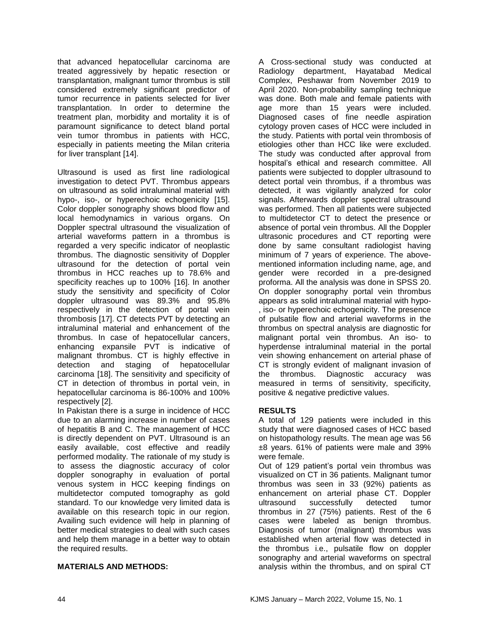that advanced hepatocellular carcinoma are treated aggressively by hepatic resection or transplantation, malignant tumor thrombus is still considered extremely significant predictor of tumor recurrence in patients selected for liver transplantation. In order to determine the treatment plan, morbidity and mortality it is of paramount significance to detect bland portal vein tumor thrombus in patients with HCC, especially in patients meeting the Milan criteria for liver transplant [\[14\]](#page-4-13).

Ultrasound is used as first line radiological investigation to detect PVT. Thrombus appears on ultrasound as solid intraluminal material with hypo-, iso-, or hyperechoic echogenicity [\[15\]](#page-4-14). Color doppler sonography shows blood flow and local hemodynamics in various organs. On Doppler spectral ultrasound the visualization of arterial waveforms pattern in a thrombus is regarded a very specific indicator of neoplastic thrombus. The diagnostic sensitivity of Doppler ultrasound for the detection of portal vein thrombus in HCC reaches up to 78.6% and specificity reaches up to 100% [\[16\]](#page-4-15). In another study the sensitivity and specificity of Color doppler ultrasound was 89.3% and 95.8% respectively in the detection of portal vein thrombosis [\[17\]](#page-4-16). CT detects PVT by detecting an intraluminal material and enhancement of the thrombus. In case of hepatocellular cancers, enhancing expansile PVT is indicative of malignant thrombus. CT is highly effective in detection and staging of hepatocellular carcinoma [\[18\]](#page-4-17). The sensitivity and specificity of CT in detection of thrombus in portal vein, in hepatocellular carcinoma is 86-100% and 100% respectively [\[2\]](#page-4-1).

In Pakistan there is a surge in incidence of HCC due to an alarming increase in number of cases of hepatitis B and C. The management of HCC is directly dependent on PVT. Ultrasound is an easily available, cost effective and readily performed modality. The rationale of my study is to assess the diagnostic accuracy of color doppler sonography in evaluation of portal venous system in HCC keeping findings on multidetector computed tomography as gold standard. To our knowledge very limited data is available on this research topic in our region. Availing such evidence will help in planning of better medical strategies to deal with such cases and help them manage in a better way to obtain the required results.

## **MATERIALS AND METHODS:**

A Cross-sectional study was conducted at Radiology department, Hayatabad Medical Complex, Peshawar from November 2019 to April 2020. Non-probability sampling technique was done. Both male and female patients with age more than 15 years were included. Diagnosed cases of fine needle aspiration cytology proven cases of HCC were included in the study. Patients with portal vein thrombosis of etiologies other than HCC like were excluded. The study was conducted after approval from hospital's ethical and research committee. All patients were subjected to doppler ultrasound to detect portal vein thrombus, if a thrombus was detected, it was vigilantly analyzed for color signals. Afterwards doppler spectral ultrasound was performed. Then all patients were subjected to multidetector CT to detect the presence or absence of portal vein thrombus. All the Doppler ultrasonic procedures and CT reporting were done by same consultant radiologist having minimum of 7 years of experience. The abovementioned information including name, age, and gender were recorded in a pre-designed proforma. All the analysis was done in SPSS 20. On doppler sonography portal vein thrombus appears as solid intraluminal material with hypo- , iso- or hyperechoic echogenicity. The presence of pulsatile flow and arterial waveforms in the thrombus on spectral analysis are diagnostic for malignant portal vein thrombus. An iso- to hyperdense intraluminal material in the portal vein showing enhancement on arterial phase of CT is strongly evident of malignant invasion of the thrombus. Diagnostic accuracy was measured in terms of sensitivity, specificity, positive & negative predictive values.

## **RESULTS**

A total of 129 patients were included in this study that were diagnosed cases of HCC based on histopathology results. The mean age was 56 ±8 years. 61% of patients were male and 39% were female.

Out of 129 patient's portal vein thrombus was visualized on CT in 36 patients. Malignant tumor thrombus was seen in 33 (92%) patients as enhancement on arterial phase CT. Doppler ultrasound successfully detected tumor thrombus in 27 (75%) patients. Rest of the 6 cases were labeled as benign thrombus. Diagnosis of tumor (malignant) thrombus was established when arterial flow was detected in the thrombus i.e., pulsatile flow on doppler sonography and arterial waveforms on spectral analysis within the thrombus, and on spiral CT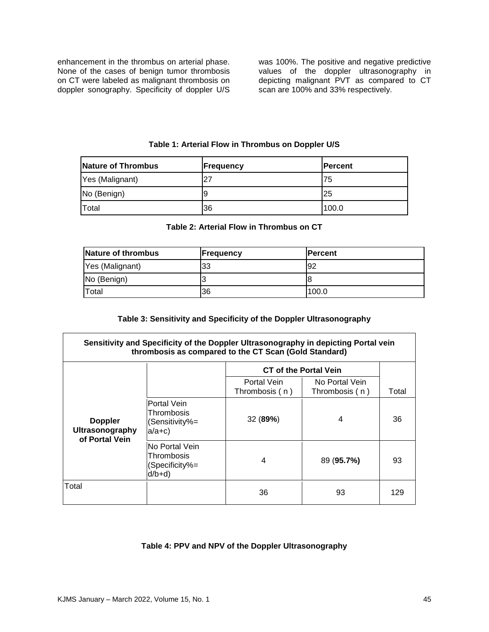enhancement in the thrombus on arterial phase. None of the cases of benign tumor thrombosis on CT were labeled as malignant thrombosis on doppler sonography. Specificity of doppler U/S was 100%. The positive and negative predictive values of the doppler ultrasonography in depicting malignant PVT as compared to CT scan are 100% and 33% respectively.

| Nature of Thrombus | <b>Frequency</b> | <b>IPercent</b> |
|--------------------|------------------|-----------------|
| Yes (Malignant)    |                  | 175             |
| No (Benign)        |                  | 125             |
| Total              | 36               | 100.0           |

**Table 1: Arterial Flow in Thrombus on Doppler U/S**

### **Table 2: Arterial Flow in Thrombus on CT**

| Nature of thrombus | <b>Frequency</b> | <b>IPercent</b> |
|--------------------|------------------|-----------------|
| Yes (Malignant)    | 33               | 192             |
| No (Benign)        |                  |                 |
| Total              | 36               | 100.0           |

## **Table 3: Sensitivity and Specificity of the Doppler Ultrasonography**

### **Sensitivity and Specificity of the Doppler Ultrasonography in depicting Portal vein thrombosis as compared to the CT Scan (Gold Standard)**

|                                                     |                                                            | <b>CT of the Portal Vein</b>  |                                  |       |
|-----------------------------------------------------|------------------------------------------------------------|-------------------------------|----------------------------------|-------|
|                                                     |                                                            | Portal Vein<br>Thrombosis (n) | No Portal Vein<br>Thrombosis (n) | Total |
| <b>Doppler</b><br>Ultrasonography<br>of Portal Vein | Portal Vein<br>Thrombosis<br>Sensitivity%=<br>$a/a+c$      | 32 (89%)                      | 4                                | 36    |
|                                                     | No Portal Vein<br>Thrombosis<br>(Specificity%=<br>$d/b+d)$ | 4                             | 89 (95.7%)                       | 93    |
| Total                                               |                                                            | 36                            | 93                               | 129   |

## **Table 4: PPV and NPV of the Doppler Ultrasonography**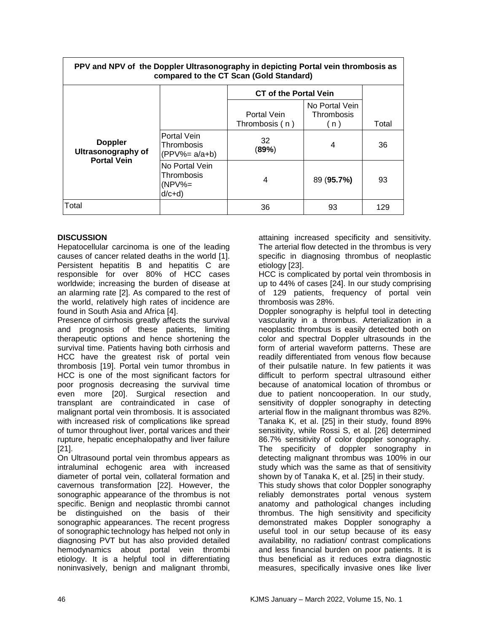| PPV and NPV of the Doppler Ultrasonography in depicting Portal vein thrombosis as<br>compared to the CT Scan (Gold Standard) |                                                   |                               |                                     |       |  |  |
|------------------------------------------------------------------------------------------------------------------------------|---------------------------------------------------|-------------------------------|-------------------------------------|-------|--|--|
|                                                                                                                              |                                                   | <b>CT</b> of the Portal Vein  |                                     |       |  |  |
|                                                                                                                              |                                                   | Portal Vein<br>Thrombosis (n) | No Portal Vein<br>Thrombosis<br>(n) | Total |  |  |
| <b>Doppler</b><br><b>Ultrasonography of</b><br><b>Portal Vein</b>                                                            | Portal Vein<br>Thrombosis<br>(PPV%= a/a+b)        | 32<br>(89%)                   | 4                                   | 36    |  |  |
|                                                                                                                              | No Portal Vein<br>Thrombosis<br>(NPV%=<br>$d/c+d$ | 4                             | 89 (95.7%)                          | 93    |  |  |
| Total                                                                                                                        |                                                   | 36                            | 93                                  | 129   |  |  |

## **DISCUSSION**

 $\Gamma$ 

Hepatocellular carcinoma is one of the leading causes of cancer related deaths in the world [\[1\]](#page-4-0). Persistent hepatitis B and hepatitis C are responsible for over 80% of HCC cases worldwide; increasing the burden of disease at an alarming rate [\[2\]](#page-4-1). As compared to the rest of the world, relatively high rates of incidence are found in South Asia and Africa [\[4\]](#page-4-3).

Presence of cirrhosis greatly affects the survival and prognosis of these patients, limiting therapeutic options and hence shortening the survival time. Patients having both cirrhosis and HCC have the greatest risk of portal vein thrombosis [\[19\]](#page-5-0). Portal vein tumor thrombus in HCC is one of the most significant factors for poor prognosis decreasing the survival time even more [\[20\]](#page-5-1). Surgical resection and transplant are contraindicated in case of malignant portal vein thrombosis. It is associated with increased risk of complications like spread of tumor throughout liver, portal varices and their rupture, hepatic encephalopathy and liver failure [\[21\]](#page-5-2).

On Ultrasound portal vein thrombus appears as intraluminal echogenic area with increased diameter of portal vein, collateral formation and cavernous transformation [\[22\]](#page-5-3). However, the sonographic appearance of the thrombus is not specific. Benign and neoplastic thrombi cannot be distinguished on the basis of their sonographic appearances. The recent progress of sonographic technology has helped not only in diagnosing PVT but has also provided detailed hemodynamics about portal vein thrombi etiology. It is a helpful tool in differentiating noninvasively, benign and malignant thrombi,

attaining increased specificity and sensitivity. The arterial flow detected in the thrombus is very specific in diagnosing thrombus of neoplastic etiology [\[23\]](#page-5-4).

٦

HCC is complicated by portal vein thrombosis in up to 44% of cases [\[24\]](#page-5-5). In our study comprising of 129 patients, frequency of portal vein thrombosis was 28%.

Doppler sonography is helpful tool in detecting vascularity in a thrombus. Arterialization in a neoplastic thrombus is easily detected both on color and spectral Doppler ultrasounds in the form of arterial waveform patterns. These are readily differentiated from venous flow because of their pulsatile nature. In few patients it was difficult to perform spectral ultrasound either because of anatomical location of thrombus or due to patient noncooperation. In our study, sensitivity of doppler sonography in detecting arterial flow in the malignant thrombus was 82%. Tanaka K, et al. [\[25\]](#page-5-6) in their study, found 89% sensitivity, while Rossi S, et al. [\[26\]](#page-5-7) determined 86.7% sensitivity of color doppler sonography. The specificity of doppler sonography in detecting malignant thrombus was 100% in our study which was the same as that of sensitivity shown by of Tanaka K, et al. [\[25\]](#page-5-6) in their study.

This study shows that color Doppler sonography reliably demonstrates portal venous system anatomy and pathological changes including thrombus. The high sensitivity and specificity demonstrated makes Doppler sonography a useful tool in our setup because of its easy availability, no radiation/ contrast complications and less financial burden on poor patients. It is thus beneficial as it reduces extra diagnostic measures, specifically invasive ones like liver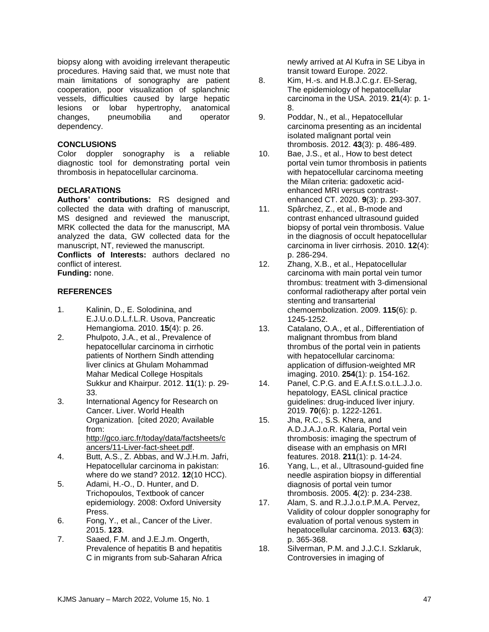biopsy along with avoiding irrelevant therapeutic procedures. Having said that, we must note that main limitations of sonography are patient cooperation, poor visualization of splanchnic vessels, difficulties caused by large hepatic lesions or lobar hypertrophy, anatomical changes, pneumobilia and operator dependency.

### **CONCLUSIONS**

Color doppler sonography is a reliable diagnostic tool for demonstrating portal vein thrombosis in hepatocellular carcinoma.

### **DECLARATIONS**

**Authors' contributions:** RS designed and collected the data with drafting of manuscript, MS designed and reviewed the manuscript, MRK collected the data for the manuscript, MA analyzed the data, GW collected data for the manuscript, NT, reviewed the manuscript.

**Conflicts of Interests:** authors declared no conflict of interest. **Funding:** none.

## **REFERENCES**

- <span id="page-4-0"></span>1. Kalinin, D., E. Solodinina, and E.J.U.o.D.L.f.L.R. Usova, Pancreatic Hemangioma. 2010. **15**(4): p. 26.
- <span id="page-4-1"></span>2. Phulpoto, J.A., et al., Prevalence of hepatocellular carcinoma in cirrhotic patients of Northern Sindh attending liver clinics at Ghulam Mohammad Mahar Medical College Hospitals Sukkur and Khairpur. 2012. **11**(1): p. 29- 33.
- <span id="page-4-2"></span>3. International Agency for Research on Cancer. Liver. World Health Organization. [cited 2020; Available from: [http://gco.iarc.fr/today/data/factsheets/c](http://gco.iarc.fr/today/data/factsheets/cancers/11-Liver-fact-sheet.pdf) [ancers/11-Liver-fact-sheet.pdf.](http://gco.iarc.fr/today/data/factsheets/cancers/11-Liver-fact-sheet.pdf)
- <span id="page-4-3"></span>4. Butt, A.S., Z. Abbas, and W.J.H.m. Jafri, Hepatocellular carcinoma in pakistan: where do we stand? 2012. **12**(10 HCC).
- <span id="page-4-4"></span>5. Adami, H.-O., D. Hunter, and D. Trichopoulos, Textbook of cancer epidemiology. 2008: Oxford University Press.
- <span id="page-4-5"></span>6. Fong, Y., et al., Cancer of the Liver. 2015. **123**.
- <span id="page-4-6"></span>7. Saaed, F.M. and J.E.J.m. Ongerth, Prevalence of hepatitis B and hepatitis C in migrants from sub-Saharan Africa

newly arrived at Al Kufra in SE Libya in transit toward Europe. 2022.

- <span id="page-4-7"></span>8. Kim, H.-s. and H.B.J.C.g.r. El-Serag, The epidemiology of hepatocellular carcinoma in the USA. 2019. **21**(4): p. 1- 8.
- <span id="page-4-8"></span>9. Poddar, N., et al., Hepatocellular carcinoma presenting as an incidental isolated malignant portal vein thrombosis. 2012. **43**(3): p. 486-489.
- <span id="page-4-9"></span>10. Bae, J.S., et al., How to best detect portal vein tumor thrombosis in patients with hepatocellular carcinoma meeting the Milan criteria: gadoxetic acidenhanced MRI versus contrastenhanced CT. 2020. **9**(3): p. 293-307.
- <span id="page-4-10"></span>11. Spârchez, Z., et al., B-mode and contrast enhanced ultrasound guided biopsy of portal vein thrombosis. Value in the diagnosis of occult hepatocellular carcinoma in liver cirrhosis. 2010. **12**(4): p. 286-294.
- <span id="page-4-11"></span>12. Zhang, X.B., et al., Hepatocellular carcinoma with main portal vein tumor thrombus: treatment with 3‐dimensional conformal radiotherapy after portal vein stenting and transarterial chemoembolization. 2009. **115**(6): p. 1245-1252.
- <span id="page-4-12"></span>13. Catalano, O.A., et al., Differentiation of malignant thrombus from bland thrombus of the portal vein in patients with hepatocellular carcinoma: application of diffusion-weighted MR imaging. 2010. **254**(1): p. 154-162.
- <span id="page-4-13"></span>14. Panel, C.P.G. and E.A.f.t.S.o.t.L.J.J.o. hepatology, EASL clinical practice guidelines: drug-induced liver injury. 2019. **70**(6): p. 1222-1261.
- <span id="page-4-14"></span>15. Jha, R.C., S.S. Khera, and A.D.J.A.J.o.R. Kalaria, Portal vein thrombosis: imaging the spectrum of disease with an emphasis on MRI features. 2018. **211**(1): p. 14-24.
- <span id="page-4-15"></span>16. Yang, L., et al., Ultrasound-guided fine needle aspiration biopsy in differential diagnosis of portal vein tumor thrombosis. 2005. **4**(2): p. 234-238.
- <span id="page-4-16"></span>17. Alam, S. and R.J.J.o.t.P.M.A. Pervez, Validity of colour doppler sonography for evaluation of portal venous system in hepatocellular carcinoma. 2013. **63**(3): p. 365-368.
- <span id="page-4-17"></span>18. Silverman, P.M. and J.J.C.I. Szklaruk, Controversies in imaging of